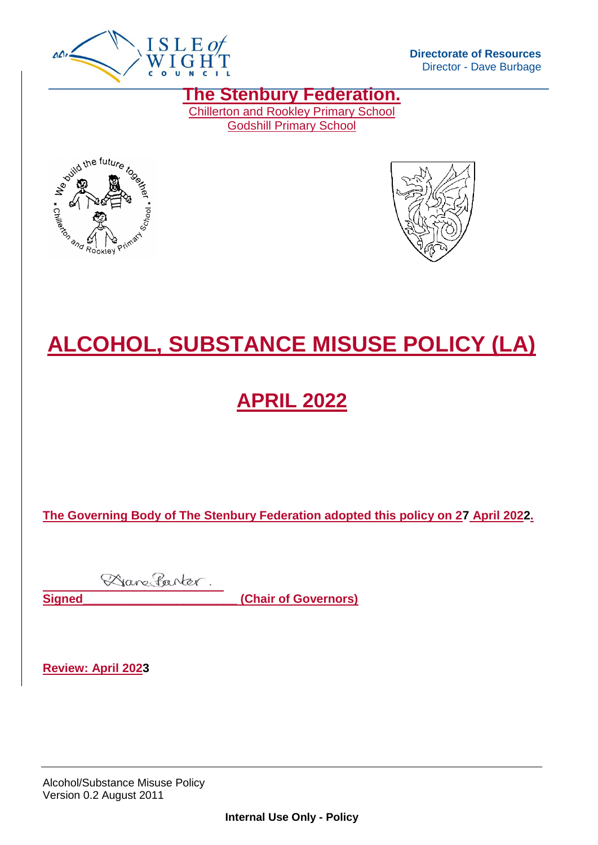

**Directorate of Resources** Director - Dave Burbage

**The Stenbury Federation.** Chillerton and Rookley Primary School

Godshill Primary School





# **ALCOHOL, SUBSTANCE MISUSE POLICY (LA)**

## **APRIL 2022**

**The Governing Body of The Stenbury Federation adopted this policy on 27 April 2022.**

Dane Parter. **Signed Chair of Governors** 

**Review: April 2023**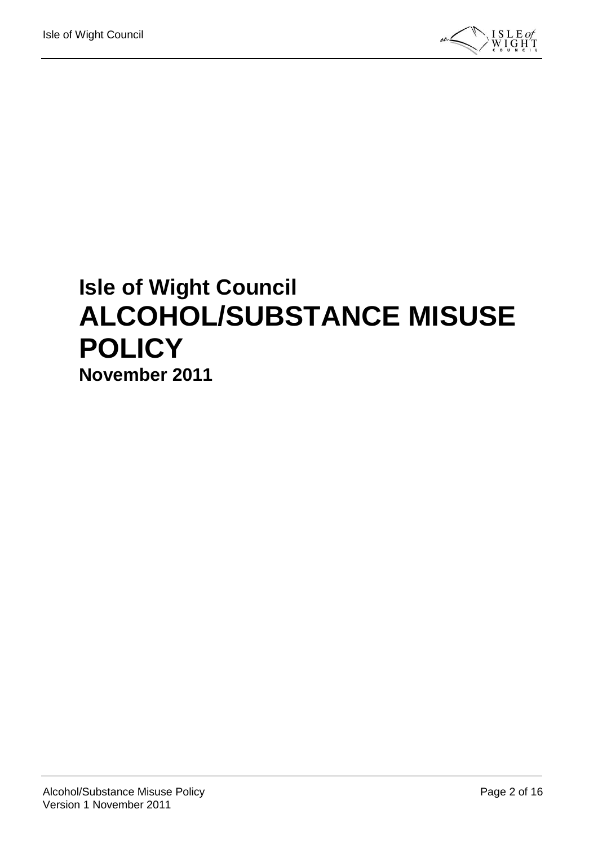

# **Isle of Wight Council ALCOHOL/SUBSTANCE MISUSE POLICY November 2011**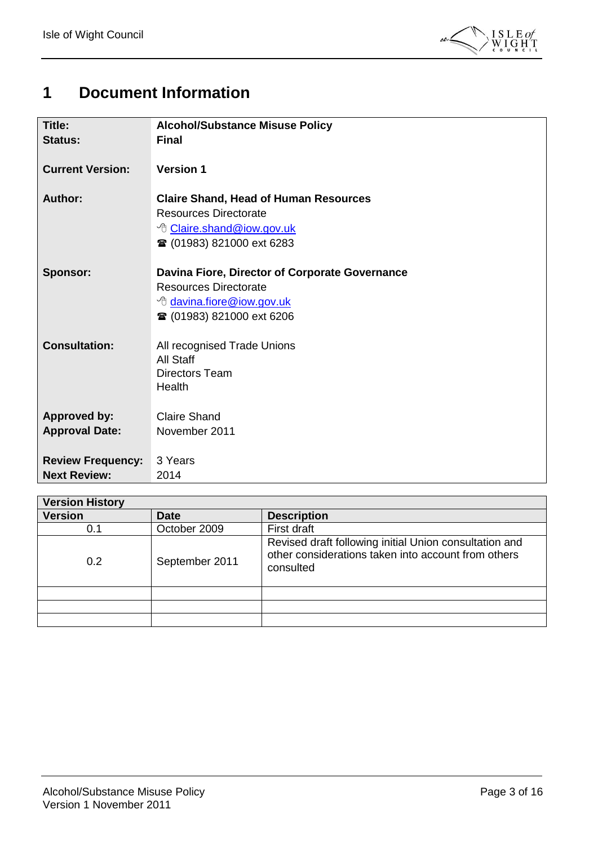

## <span id="page-2-0"></span>**1 Document Information**

| Title:                   | <b>Alcohol/Substance Misuse Policy</b>         |
|--------------------------|------------------------------------------------|
| <b>Status:</b>           | <b>Final</b>                                   |
| <b>Current Version:</b>  | <b>Version 1</b>                               |
|                          |                                                |
| <b>Author:</b>           | <b>Claire Shand, Head of Human Resources</b>   |
|                          | <b>Resources Directorate</b>                   |
|                          | <sup>t</sup> Claire.shand@iow.gov.uk           |
|                          | ☎ (01983) 821000 ext 6283                      |
| <b>Sponsor:</b>          | Davina Fiore, Director of Corporate Governance |
|                          | <b>Resources Directorate</b>                   |
|                          | <sup>t</sup> davina.fiore@iow.gov.uk           |
|                          |                                                |
|                          | <b>■ (01983) 821000 ext 6206</b>               |
| <b>Consultation:</b>     | All recognised Trade Unions                    |
|                          | All Staff                                      |
|                          | Directors Team                                 |
|                          | Health                                         |
|                          | <b>Claire Shand</b>                            |
| <b>Approved by:</b>      |                                                |
| <b>Approval Date:</b>    | November 2011                                  |
| <b>Review Frequency:</b> | 3 Years                                        |
| <b>Next Review:</b>      | 2014                                           |

| <b>Version History</b> |                |                                                                                                                            |  |  |
|------------------------|----------------|----------------------------------------------------------------------------------------------------------------------------|--|--|
| <b>Version</b>         | <b>Date</b>    | <b>Description</b>                                                                                                         |  |  |
| 0.1                    | October 2009   | First draft                                                                                                                |  |  |
| 0.2                    | September 2011 | Revised draft following initial Union consultation and<br>other considerations taken into account from others<br>consulted |  |  |
|                        |                |                                                                                                                            |  |  |
|                        |                |                                                                                                                            |  |  |
|                        |                |                                                                                                                            |  |  |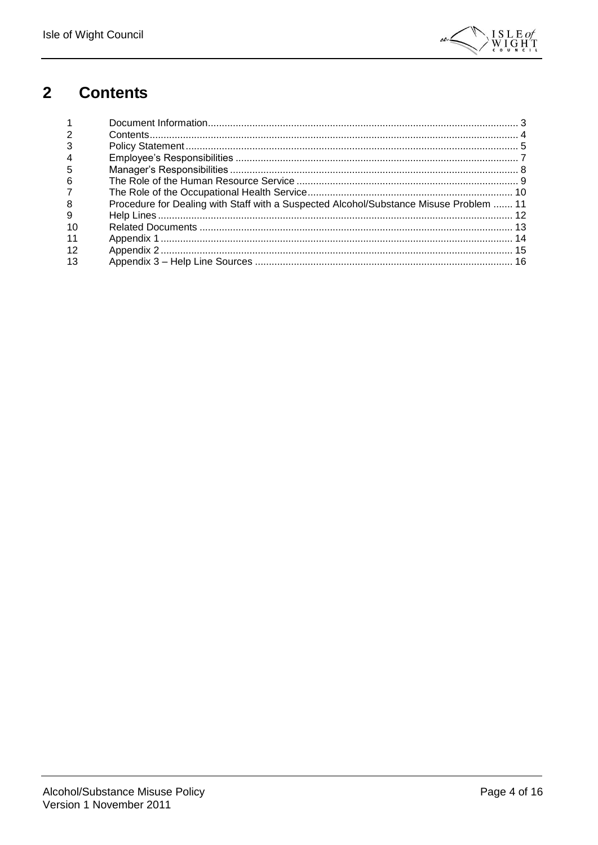

#### <span id="page-3-0"></span> $\overline{\mathbf{2}}$ **Contents**

| $\overline{2}$   |                                                                                        |  |
|------------------|----------------------------------------------------------------------------------------|--|
| 3                |                                                                                        |  |
| $\boldsymbol{4}$ |                                                                                        |  |
| 5                |                                                                                        |  |
| 6                |                                                                                        |  |
|                  |                                                                                        |  |
| 8                | Procedure for Dealing with Staff with a Suspected Alcohol/Substance Misuse Problem  11 |  |
| 9                |                                                                                        |  |
| 10               |                                                                                        |  |
|                  |                                                                                        |  |
| 12               |                                                                                        |  |
| 13               |                                                                                        |  |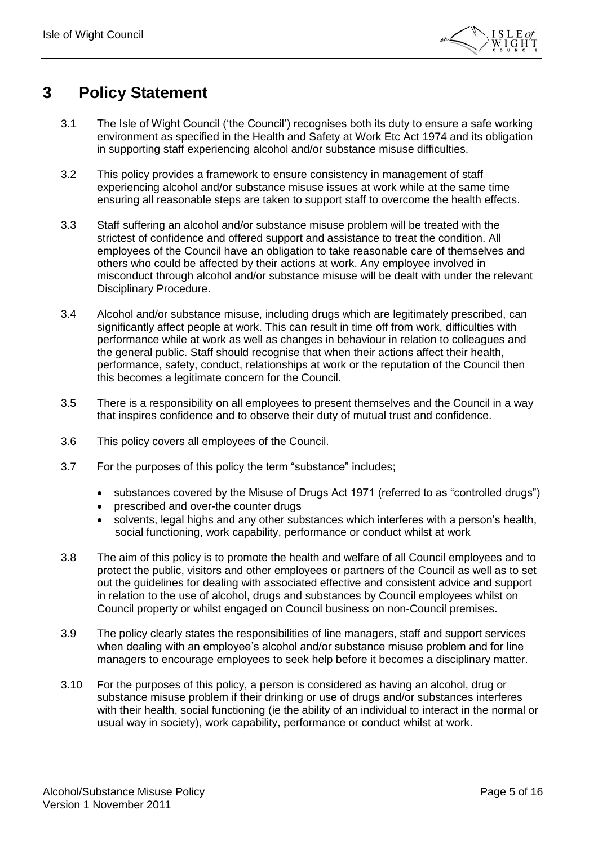

#### <span id="page-4-0"></span>**3 Policy Statement**

- 3.1 The Isle of Wight Council ('the Council') recognises both its duty to ensure a safe working environment as specified in the Health and Safety at Work Etc Act 1974 and its obligation in supporting staff experiencing alcohol and/or substance misuse difficulties.
- 3.2 This policy provides a framework to ensure consistency in management of staff experiencing alcohol and/or substance misuse issues at work while at the same time ensuring all reasonable steps are taken to support staff to overcome the health effects.
- 3.3 Staff suffering an alcohol and/or substance misuse problem will be treated with the strictest of confidence and offered support and assistance to treat the condition. All employees of the Council have an obligation to take reasonable care of themselves and others who could be affected by their actions at work. Any employee involved in misconduct through alcohol and/or substance misuse will be dealt with under the relevant Disciplinary Procedure.
- 3.4 Alcohol and/or substance misuse, including drugs which are legitimately prescribed, can significantly affect people at work. This can result in time off from work, difficulties with performance while at work as well as changes in behaviour in relation to colleagues and the general public. Staff should recognise that when their actions affect their health, performance, safety, conduct, relationships at work or the reputation of the Council then this becomes a legitimate concern for the Council.
- 3.5 There is a responsibility on all employees to present themselves and the Council in a way that inspires confidence and to observe their duty of mutual trust and confidence.
- 3.6 This policy covers all employees of the Council.
- 3.7 For the purposes of this policy the term "substance" includes;
	- substances covered by the Misuse of Drugs Act 1971 (referred to as "controlled drugs")
	- prescribed and over-the counter drugs
	- solvents, legal highs and any other substances which interferes with a person's health, social functioning, work capability, performance or conduct whilst at work
- 3.8 The aim of this policy is to promote the health and welfare of all Council employees and to protect the public, visitors and other employees or partners of the Council as well as to set out the guidelines for dealing with associated effective and consistent advice and support in relation to the use of alcohol, drugs and substances by Council employees whilst on Council property or whilst engaged on Council business on non-Council premises.
- 3.9 The policy clearly states the responsibilities of line managers, staff and support services when dealing with an employee's alcohol and/or substance misuse problem and for line managers to encourage employees to seek help before it becomes a disciplinary matter.
- 3.10 For the purposes of this policy, a person is considered as having an alcohol, drug or substance misuse problem if their drinking or use of drugs and/or substances interferes with their health, social functioning (ie the ability of an individual to interact in the normal or usual way in society), work capability, performance or conduct whilst at work.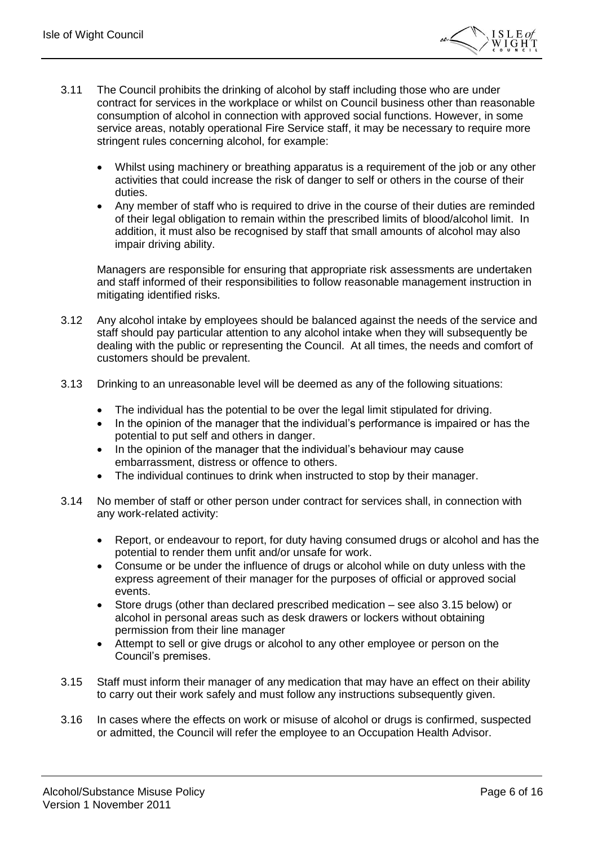

- 3.11 The Council prohibits the drinking of alcohol by staff including those who are under contract for services in the workplace or whilst on Council business other than reasonable consumption of alcohol in connection with approved social functions. However, in some service areas, notably operational Fire Service staff, it may be necessary to require more stringent rules concerning alcohol, for example:
	- Whilst using machinery or breathing apparatus is a requirement of the job or any other activities that could increase the risk of danger to self or others in the course of their duties.
	- Any member of staff who is required to drive in the course of their duties are reminded of their legal obligation to remain within the prescribed limits of blood/alcohol limit. In addition, it must also be recognised by staff that small amounts of alcohol may also impair driving ability.

Managers are responsible for ensuring that appropriate risk assessments are undertaken and staff informed of their responsibilities to follow reasonable management instruction in mitigating identified risks.

- 3.12 Any alcohol intake by employees should be balanced against the needs of the service and staff should pay particular attention to any alcohol intake when they will subsequently be dealing with the public or representing the Council. At all times, the needs and comfort of customers should be prevalent.
- 3.13 Drinking to an unreasonable level will be deemed as any of the following situations:
	- The individual has the potential to be over the legal limit stipulated for driving.
	- In the opinion of the manager that the individual's performance is impaired or has the potential to put self and others in danger.
	- In the opinion of the manager that the individual's behaviour may cause embarrassment, distress or offence to others.
	- The individual continues to drink when instructed to stop by their manager.
- 3.14 No member of staff or other person under contract for services shall, in connection with any work-related activity:
	- Report, or endeavour to report, for duty having consumed drugs or alcohol and has the potential to render them unfit and/or unsafe for work.
	- Consume or be under the influence of drugs or alcohol while on duty unless with the express agreement of their manager for the purposes of official or approved social events.
	- Store drugs (other than declared prescribed medication see also 3.15 below) or alcohol in personal areas such as desk drawers or lockers without obtaining permission from their line manager
	- Attempt to sell or give drugs or alcohol to any other employee or person on the Council's premises.
- 3.15 Staff must inform their manager of any medication that may have an effect on their ability to carry out their work safely and must follow any instructions subsequently given.
- 3.16 In cases where the effects on work or misuse of alcohol or drugs is confirmed, suspected or admitted, the Council will refer the employee to an Occupation Health Advisor.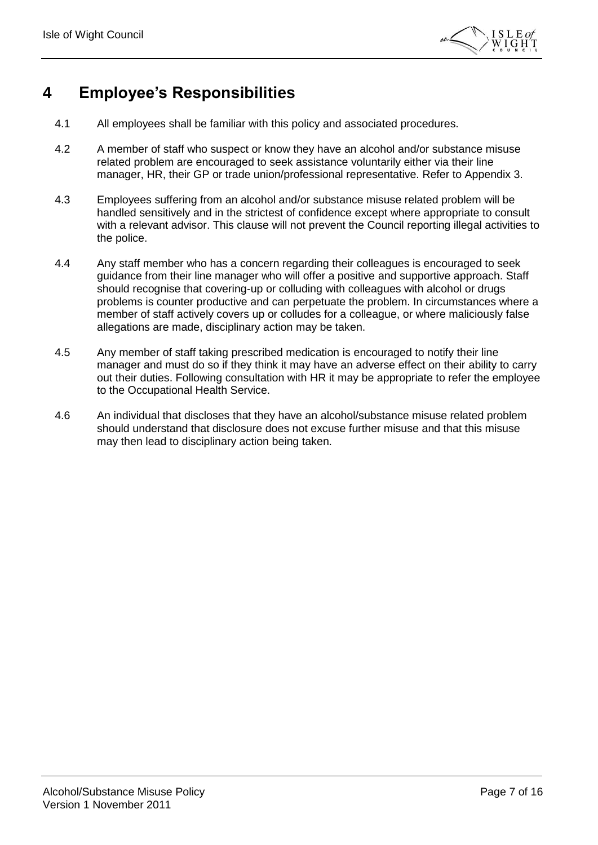

### <span id="page-6-0"></span>**4 Employee's Responsibilities**

- 4.1 All employees shall be familiar with this policy and associated procedures.
- 4.2 A member of staff who suspect or know they have an alcohol and/or substance misuse related problem are encouraged to seek assistance voluntarily either via their line manager, HR, their GP or trade union/professional representative. Refer to Appendix 3.
- 4.3 Employees suffering from an alcohol and/or substance misuse related problem will be handled sensitively and in the strictest of confidence except where appropriate to consult with a relevant advisor. This clause will not prevent the Council reporting illegal activities to the police.
- 4.4 Any staff member who has a concern regarding their colleagues is encouraged to seek guidance from their line manager who will offer a positive and supportive approach. Staff should recognise that covering-up or colluding with colleagues with alcohol or drugs problems is counter productive and can perpetuate the problem. In circumstances where a member of staff actively covers up or colludes for a colleague, or where maliciously false allegations are made, disciplinary action may be taken.
- 4.5 Any member of staff taking prescribed medication is encouraged to notify their line manager and must do so if they think it may have an adverse effect on their ability to carry out their duties. Following consultation with HR it may be appropriate to refer the employee to the Occupational Health Service.
- 4.6 An individual that discloses that they have an alcohol/substance misuse related problem should understand that disclosure does not excuse further misuse and that this misuse may then lead to disciplinary action being taken.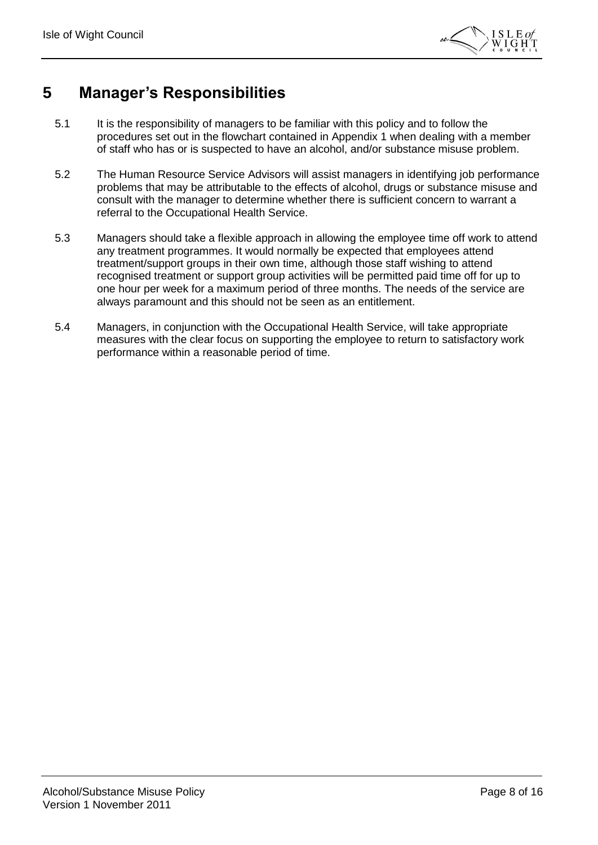

#### <span id="page-7-0"></span>**5 Manager's Responsibilities**

- 5.1 It is the responsibility of managers to be familiar with this policy and to follow the procedures set out in the flowchart contained in Appendix 1 when dealing with a member of staff who has or is suspected to have an alcohol, and/or substance misuse problem.
- 5.2 The Human Resource Service Advisors will assist managers in identifying job performance problems that may be attributable to the effects of alcohol, drugs or substance misuse and consult with the manager to determine whether there is sufficient concern to warrant a referral to the Occupational Health Service.
- 5.3 Managers should take a flexible approach in allowing the employee time off work to attend any treatment programmes. It would normally be expected that employees attend treatment/support groups in their own time, although those staff wishing to attend recognised treatment or support group activities will be permitted paid time off for up to one hour per week for a maximum period of three months. The needs of the service are always paramount and this should not be seen as an entitlement.
- 5.4 Managers, in conjunction with the Occupational Health Service, will take appropriate measures with the clear focus on supporting the employee to return to satisfactory work performance within a reasonable period of time.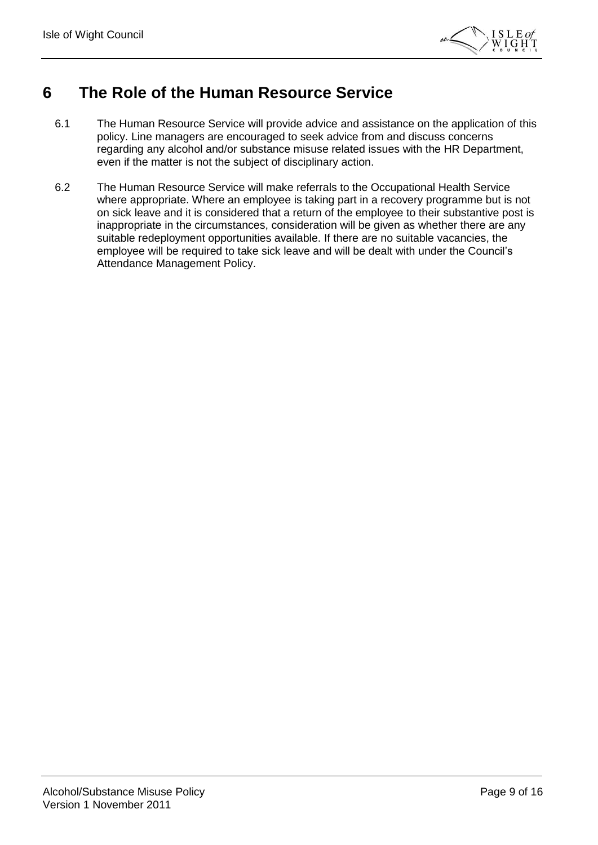

#### <span id="page-8-0"></span>**6 The Role of the Human Resource Service**

- 6.1 The Human Resource Service will provide advice and assistance on the application of this policy. Line managers are encouraged to seek advice from and discuss concerns regarding any alcohol and/or substance misuse related issues with the HR Department, even if the matter is not the subject of disciplinary action.
- 6.2 The Human Resource Service will make referrals to the Occupational Health Service where appropriate. Where an employee is taking part in a recovery programme but is not on sick leave and it is considered that a return of the employee to their substantive post is inappropriate in the circumstances, consideration will be given as whether there are any suitable redeployment opportunities available. If there are no suitable vacancies, the employee will be required to take sick leave and will be dealt with under the Council's Attendance Management Policy.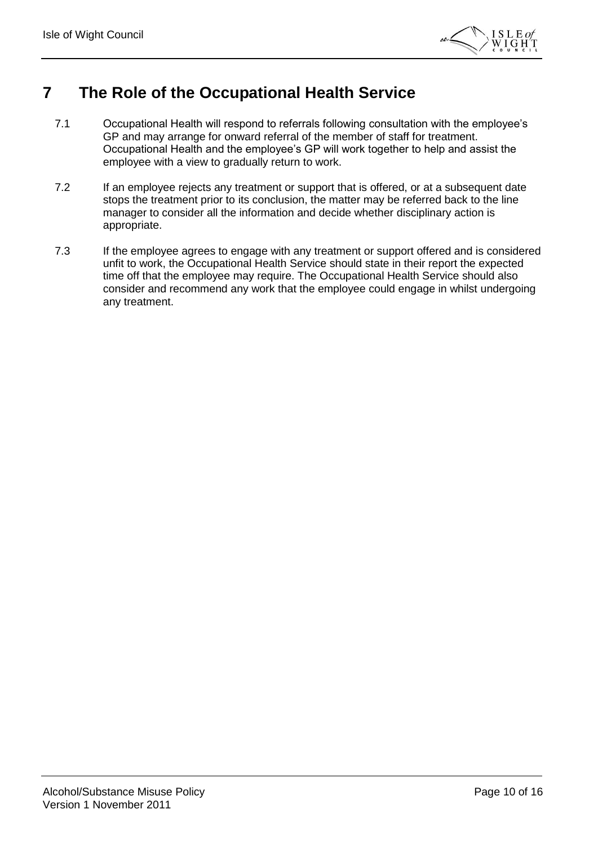

#### <span id="page-9-0"></span>**7 The Role of the Occupational Health Service**

- 7.1 Occupational Health will respond to referrals following consultation with the employee's GP and may arrange for onward referral of the member of staff for treatment. Occupational Health and the employee's GP will work together to help and assist the employee with a view to gradually return to work.
- 7.2 If an employee rejects any treatment or support that is offered, or at a subsequent date stops the treatment prior to its conclusion, the matter may be referred back to the line manager to consider all the information and decide whether disciplinary action is appropriate.
- 7.3 If the employee agrees to engage with any treatment or support offered and is considered unfit to work, the Occupational Health Service should state in their report the expected time off that the employee may require. The Occupational Health Service should also consider and recommend any work that the employee could engage in whilst undergoing any treatment.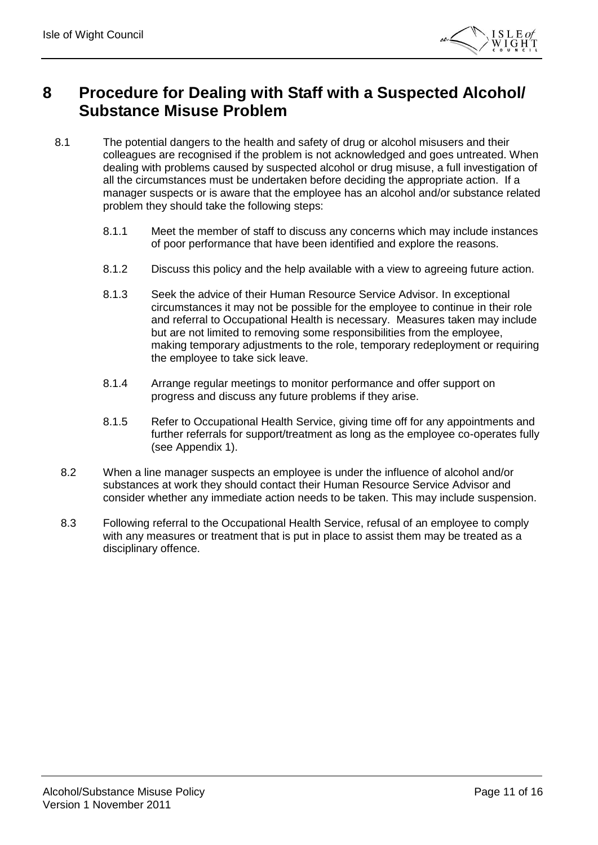

#### <span id="page-10-0"></span>**8 Procedure for Dealing with Staff with a Suspected Alcohol/ Substance Misuse Problem**

- 8.1 The potential dangers to the health and safety of drug or alcohol misusers and their colleagues are recognised if the problem is not acknowledged and goes untreated. When dealing with problems caused by suspected alcohol or drug misuse, a full investigation of all the circumstances must be undertaken before deciding the appropriate action. If a manager suspects or is aware that the employee has an alcohol and/or substance related problem they should take the following steps:
	- 8.1.1 Meet the member of staff to discuss any concerns which may include instances of poor performance that have been identified and explore the reasons.
	- 8.1.2 Discuss this policy and the help available with a view to agreeing future action.
	- 8.1.3 Seek the advice of their Human Resource Service Advisor. In exceptional circumstances it may not be possible for the employee to continue in their role and referral to Occupational Health is necessary. Measures taken may include but are not limited to removing some responsibilities from the employee, making temporary adjustments to the role, temporary redeployment or requiring the employee to take sick leave.
	- 8.1.4 Arrange regular meetings to monitor performance and offer support on progress and discuss any future problems if they arise.
	- 8.1.5 Refer to Occupational Health Service, giving time off for any appointments and further referrals for support/treatment as long as the employee co-operates fully (see Appendix 1).
	- 8.2 When a line manager suspects an employee is under the influence of alcohol and/or substances at work they should contact their Human Resource Service Advisor and consider whether any immediate action needs to be taken. This may include suspension.
	- 8.3 Following referral to the Occupational Health Service, refusal of an employee to comply with any measures or treatment that is put in place to assist them may be treated as a disciplinary offence.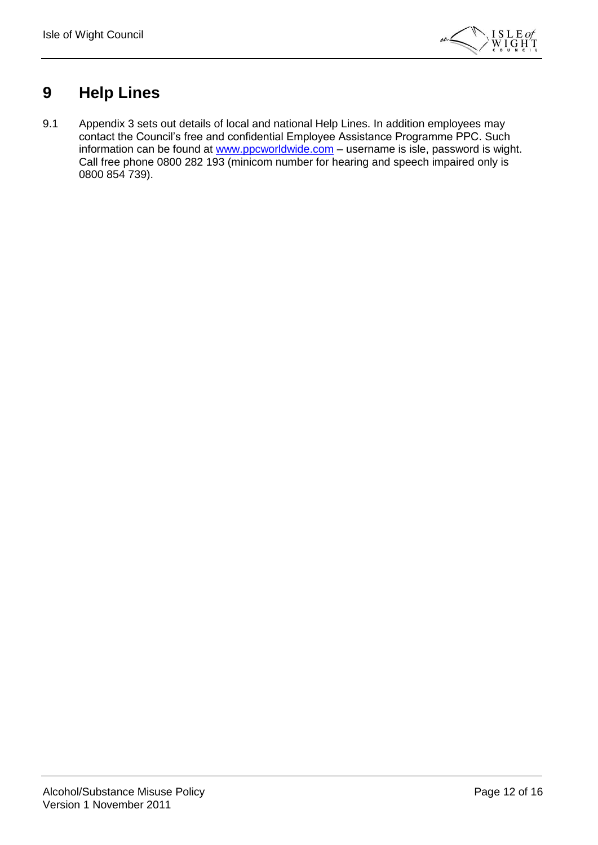

#### <span id="page-11-0"></span>**9 Help Lines**

9.1 Appendix 3 sets out details of local and national Help Lines. In addition employees may contact the Council's free and confidential Employee Assistance Programme PPC. Such information can be found at [www.ppcworldwide.com](http://www.ppcworldwide.com/) – username is isle, password is wight. Call free phone 0800 282 193 (minicom number for hearing and speech impaired only is 0800 854 739).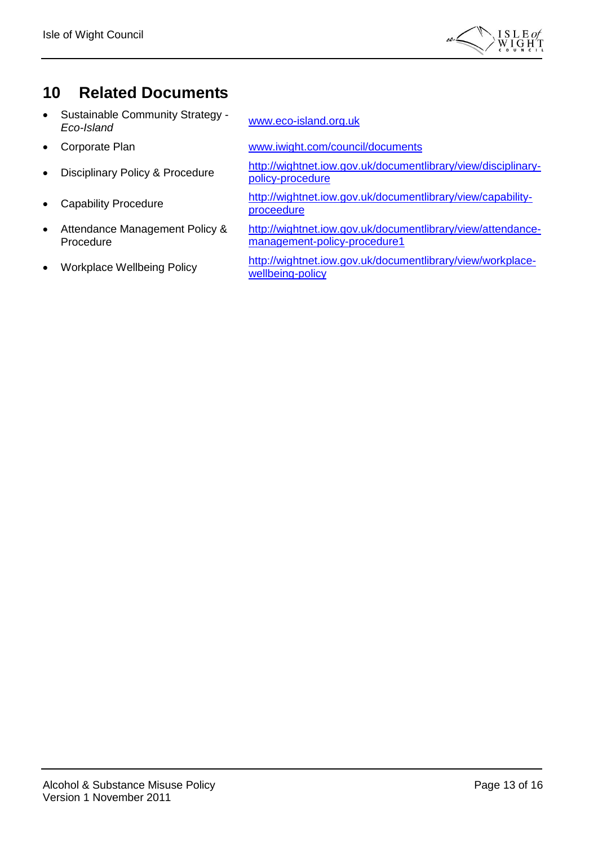

### <span id="page-12-0"></span>**10 Related Documents**

- Sustainable Community Strategy Sustainable Community Strategy - [www.eco-island.org.uk](http://www.eco-island.org.uk/)<br>*Eco-Island*
- 
- 
- 
- Attendance Management Policy & Procedure
- 

• Corporate Plan [www.iwight.com/council/documents](http://www.iwight.com/council/documents)

• Disciplinary Policy & Procedure [http://wightnet.iow.gov.uk/documentlibrary/view/disciplinary](http://wightnet.iow.gov.uk/documentlibrary/view/disciplinary-policy-procedure)[policy-procedure](http://wightnet.iow.gov.uk/documentlibrary/view/disciplinary-policy-procedure)

• Capability Procedure [http://wightnet.iow.gov.uk/documentlibrary/view/capability](http://wightnet.iow.gov.uk/documentlibrary/view/capability-proceedure)[proceedure](http://wightnet.iow.gov.uk/documentlibrary/view/capability-proceedure)

> [http://wightnet.iow.gov.uk/documentlibrary/view/attendance](http://wightnet.iow.gov.uk/documentlibrary/view/attendance-management-policy-procedure1)[management-policy-procedure1](http://wightnet.iow.gov.uk/documentlibrary/view/attendance-management-policy-procedure1)

• Workplace Wellbeing Policy [http://wightnet.iow.gov.uk/documentlibrary/view/workplace](http://wightnet.iow.gov.uk/documentlibrary/view/workplace-wellbeing-policy)[wellbeing-policy](http://wightnet.iow.gov.uk/documentlibrary/view/workplace-wellbeing-policy)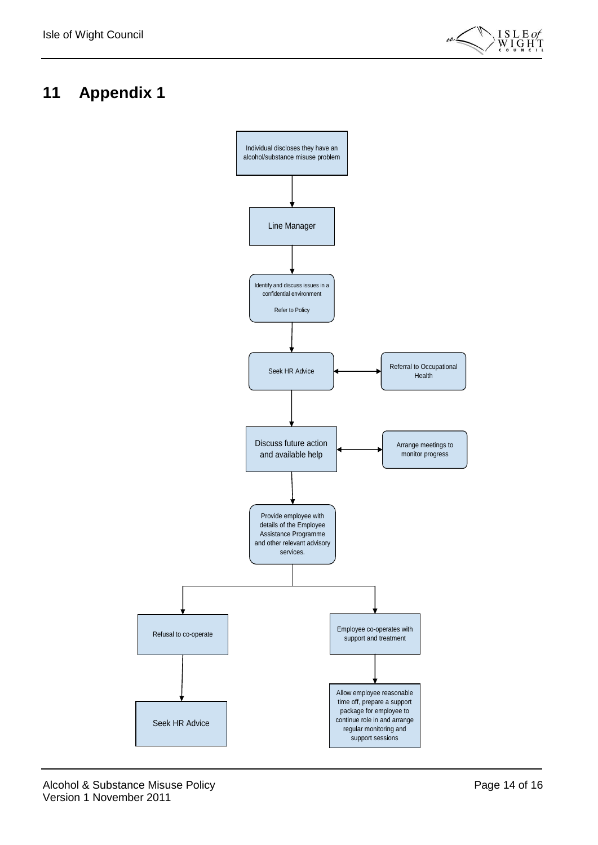

### <span id="page-13-0"></span>**11 Appendix 1**

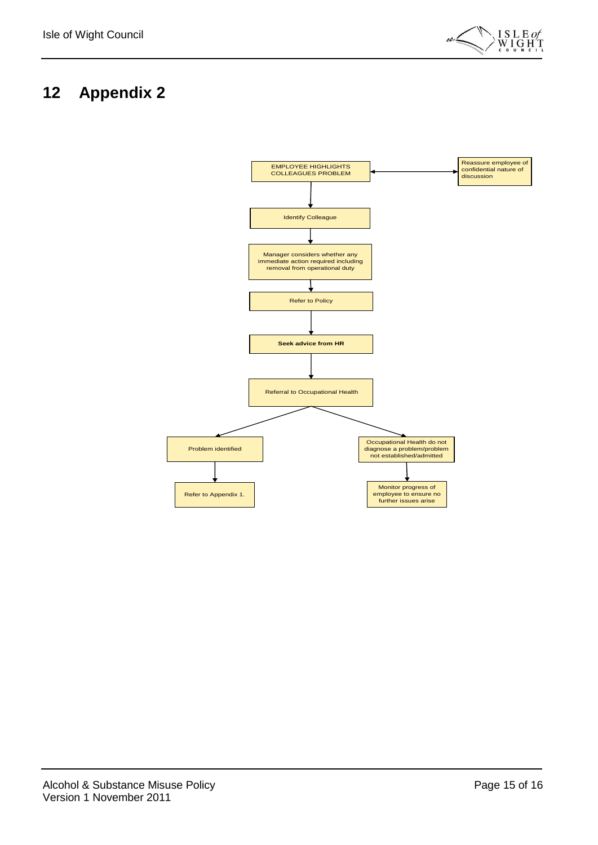

### <span id="page-14-0"></span>**12 Appendix 2**